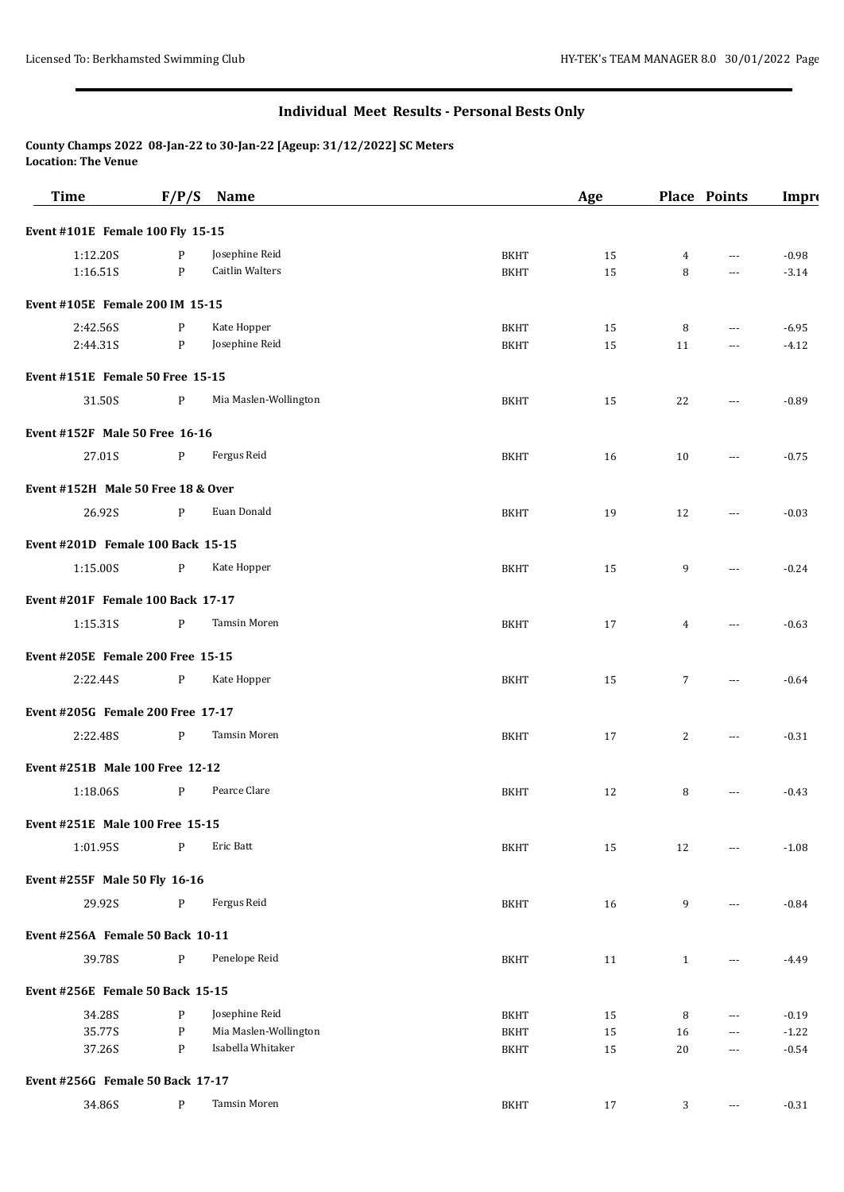## **Individual Meet Results - Personal Bests Only**

**County Champs 2022 08-Jan-22 to 30-Jan-22 [Ageup: 31/12/2022] SC Meters Location: The Venue**

| <b>Time</b>                        | F/P/S        | <b>Name</b>            |             | Age | Place Points   |                      | Impro   |
|------------------------------------|--------------|------------------------|-------------|-----|----------------|----------------------|---------|
| Event #101E Female 100 Fly 15-15   |              |                        |             |     |                |                      |         |
| 1:12.20S                           | P            | Josephine Reid         | <b>BKHT</b> | 15  | 4              | $\cdots$             | $-0.98$ |
| 1:16.51S                           | P            | <b>Caitlin Walters</b> | <b>BKHT</b> | 15  | 8              | $\cdots$             | $-3.14$ |
| Event #105E Female 200 IM 15-15    |              |                        |             |     |                |                      |         |
| 2:42.56S                           | P            | Kate Hopper            | <b>BKHT</b> | 15  | 8              | ---                  | $-6.95$ |
| 2:44.31S                           | P            | Josephine Reid         | <b>BKHT</b> | 15  | 11             | $\cdots$             | $-4.12$ |
| Event #151E Female 50 Free 15-15   |              |                        |             |     |                |                      |         |
| 31.50S                             | P            | Mia Maslen-Wollington  | <b>BKHT</b> | 15  | 22             | $\cdots$             | $-0.89$ |
| Event #152F Male 50 Free 16-16     |              |                        |             |     |                |                      |         |
| 27.01S                             | $\mathbf{P}$ | Fergus Reid            | <b>BKHT</b> | 16  | 10             | $---$                | $-0.75$ |
| Event #152H Male 50 Free 18 & Over |              |                        |             |     |                |                      |         |
| 26.92S                             | P            | Euan Donald            | <b>BKHT</b> | 19  | 12             | $---$                | $-0.03$ |
| Event #201D Female 100 Back 15-15  |              |                        |             |     |                |                      |         |
| 1:15.00S                           | P            | Kate Hopper            | <b>BKHT</b> | 15  | 9              | ---                  | $-0.24$ |
| Event #201F Female 100 Back 17-17  |              |                        |             |     |                |                      |         |
| 1:15.31S                           | P            | Tamsin Moren           | <b>BKHT</b> | 17  | 4              | $\cdots$             | $-0.63$ |
| Event #205E Female 200 Free 15-15  |              |                        |             |     |                |                      |         |
| 2:22.44S                           | $\mathbf{P}$ | Kate Hopper            | <b>BKHT</b> | 15  | $\overline{7}$ | $---$                | $-0.64$ |
| Event #205G Female 200 Free 17-17  |              |                        |             |     |                |                      |         |
| 2:22.48S                           | $\mathbf{P}$ | Tamsin Moren           | <b>BKHT</b> | 17  | 2              | $\cdots$             | $-0.31$ |
| Event #251B Male 100 Free 12-12    |              |                        |             |     |                |                      |         |
| 1:18.06S                           | P            | Pearce Clare           | <b>BKHT</b> | 12  | 8              | $\overline{a}$       | $-0.43$ |
| Event #251E Male 100 Free 15-15    |              |                        |             |     |                |                      |         |
| 1:01.95S                           | P            | Eric Batt              | <b>BKHT</b> | 15  | 12             |                      | $-1.08$ |
| Event #255F Male 50 Fly 16-16      |              |                        |             |     |                |                      |         |
| 29.92S                             | P            | Fergus Reid            | <b>BKHT</b> | 16  | 9              | $---$                | $-0.84$ |
| Event #256A Female 50 Back 10-11   |              |                        |             |     |                |                      |         |
| 39.78S                             | P            | Penelope Reid          | <b>BKHT</b> | 11  | $\mathbf{1}$   | ---                  | $-4.49$ |
| Event #256E Female 50 Back 15-15   |              |                        |             |     |                |                      |         |
| 34.28S                             | P            | Josephine Reid         | <b>BKHT</b> | 15  | 8              | ---                  | $-0.19$ |
| 35.77S                             | $\mathbf{P}$ | Mia Maslen-Wollington  | <b>BKHT</b> | 15  | 16             | $\scriptstyle\cdots$ | $-1.22$ |
| 37.26S                             | P            | Isabella Whitaker      | <b>BKHT</b> | 15  | 20             | $\cdots$             | $-0.54$ |
| Event #256G Female 50 Back 17-17   |              |                        |             |     |                |                      |         |
| 34.86S                             | $\mathbf{P}$ | Tamsin Moren           | <b>BKHT</b> | 17  | 3              | $\cdots$             | $-0.31$ |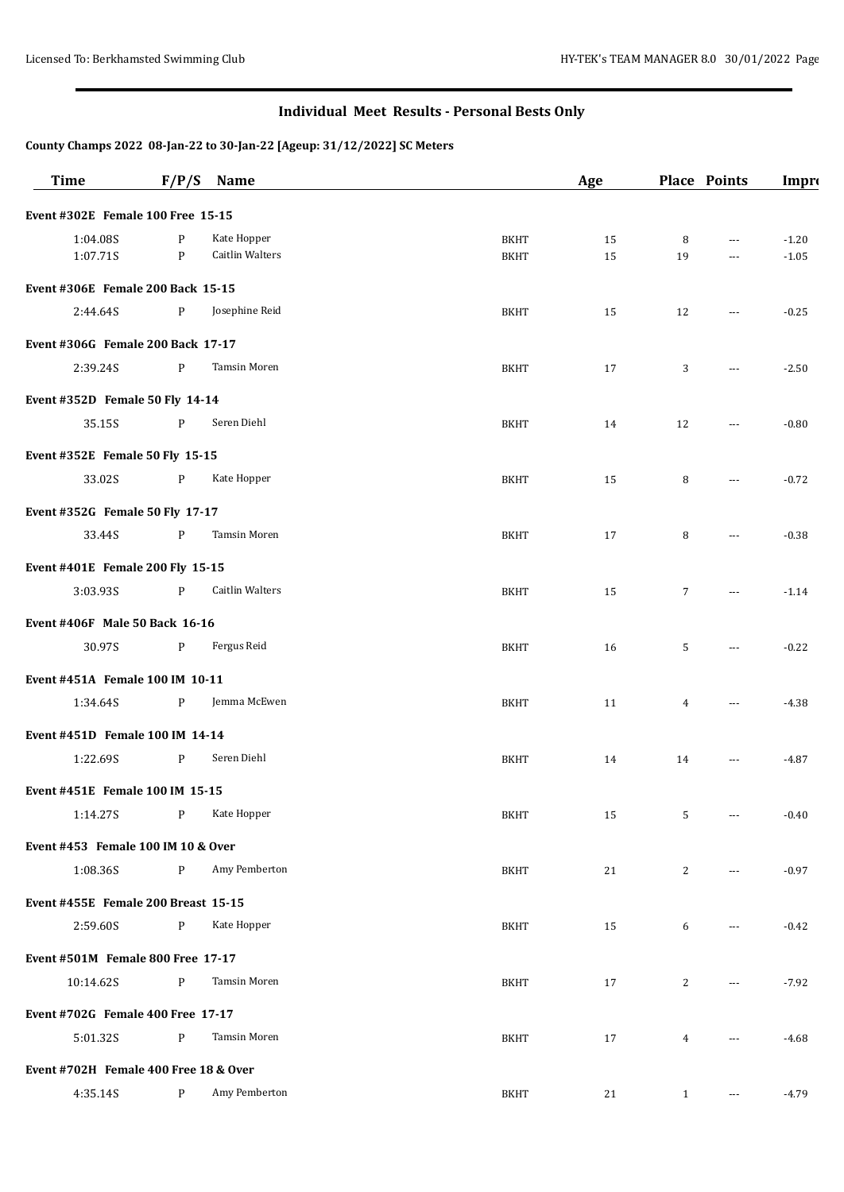# **Individual Meet Results - Personal Bests Only**

### **County Champs 2022 08-Jan-22 to 30-Jan-22 [Ageup: 31/12/2022] SC Meters**

| <b>Time</b>                           | F/P/S        | <b>Name</b>            |             | Age |                 | Place Points                           | Impro   |
|---------------------------------------|--------------|------------------------|-------------|-----|-----------------|----------------------------------------|---------|
| Event #302E Female 100 Free 15-15     |              |                        |             |     |                 |                                        |         |
| 1:04.08S                              | P            | Kate Hopper            | <b>BKHT</b> | 15  | 8               | $\cdots$                               | $-1.20$ |
| 1:07.71S                              | P            | <b>Caitlin Walters</b> | <b>BKHT</b> | 15  | 19              | $\cdots$                               | $-1.05$ |
| Event #306E Female 200 Back 15-15     |              |                        |             |     |                 |                                        |         |
| 2:44.64S                              | P            | Josephine Reid         | <b>BKHT</b> | 15  | 12              | $\overline{a}$                         | $-0.25$ |
| Event #306G Female 200 Back 17-17     |              |                        |             |     |                 |                                        |         |
| 2:39.24S                              | $\mathbf{P}$ | Tamsin Moren           | <b>BKHT</b> | 17  | 3               | $\cdots$                               | $-2.50$ |
| Event #352D Female 50 Fly 14-14       |              |                        |             |     |                 |                                        |         |
| 35.15S                                | P            | Seren Diehl            | <b>BKHT</b> | 14  | 12              | $---$                                  | $-0.80$ |
| Event #352E Female 50 Fly 15-15       |              |                        |             |     |                 |                                        |         |
| 33.02S                                | $\mathbf{P}$ | Kate Hopper            | <b>BKHT</b> | 15  | 8               | $\cdots$                               | $-0.72$ |
| Event #352G Female 50 Fly 17-17       |              |                        |             |     |                 |                                        |         |
| 33.44S                                | $\mathbf{P}$ | Tamsin Moren           | <b>BKHT</b> | 17  | 8               | $\cdots$                               | $-0.38$ |
| Event #401E Female 200 Fly 15-15      |              |                        |             |     |                 |                                        |         |
| 3:03.93S                              | $\, {\bf P}$ | <b>Caitlin Walters</b> | <b>BKHT</b> | 15  | $7\overline{ }$ | $---$                                  | $-1.14$ |
| Event #406F Male 50 Back 16-16        |              |                        |             |     |                 |                                        |         |
| 30.97S                                | P            | Fergus Reid            | <b>BKHT</b> | 16  | 5               | $---$                                  | $-0.22$ |
| Event #451A Female 100 IM 10-11       |              |                        |             |     |                 |                                        |         |
| 1:34.64S                              | $\mathbf{P}$ | Jemma McEwen           | <b>BKHT</b> | 11  | $\overline{4}$  | $\cdots$                               | $-4.38$ |
| Event #451D Female 100 IM 14-14       |              |                        |             |     |                 |                                        |         |
| 1:22.69S                              | P            | Seren Diehl            | <b>BKHT</b> | 14  | 14              | $\scriptstyle\cdots\scriptstyle\cdots$ | $-4.87$ |
| Event #451E Female 100 IM 15-15       |              |                        |             |     |                 |                                        |         |
| 1:14.27S                              | $\mathbf{P}$ | Kate Hopper            | <b>BKHT</b> | 15  | 5               | $\cdots$                               | $-0.40$ |
| Event #453 Female 100 IM 10 & Over    |              |                        |             |     |                 |                                        |         |
| 1:08.36S                              | P            | Amy Pemberton          | <b>BKHT</b> | 21  | 2               | $\cdots$                               | $-0.97$ |
| Event #455E Female 200 Breast 15-15   |              |                        |             |     |                 |                                        |         |
| 2:59.60S                              | $\, {\bf P}$ | Kate Hopper            | <b>BKHT</b> | 15  | 6               | $\overline{a}$                         | $-0.42$ |
| Event #501M Female 800 Free 17-17     |              |                        |             |     |                 |                                        |         |
| 10:14.62S                             | P            | Tamsin Moren           | BKHT        | 17  | 2               | $\cdots$                               | $-7.92$ |
| Event #702G Female 400 Free 17-17     |              |                        |             |     |                 |                                        |         |
| 5:01.32S                              | P            | Tamsin Moren           | <b>BKHT</b> | 17  | $\overline{4}$  | $---$                                  | $-4.68$ |
| Event #702H Female 400 Free 18 & Over |              |                        |             |     |                 |                                        |         |
| 4:35.14S                              | P            | Amy Pemberton          | <b>BKHT</b> | 21  | $\mathbf{1}$    | $\cdots$                               | $-4.79$ |